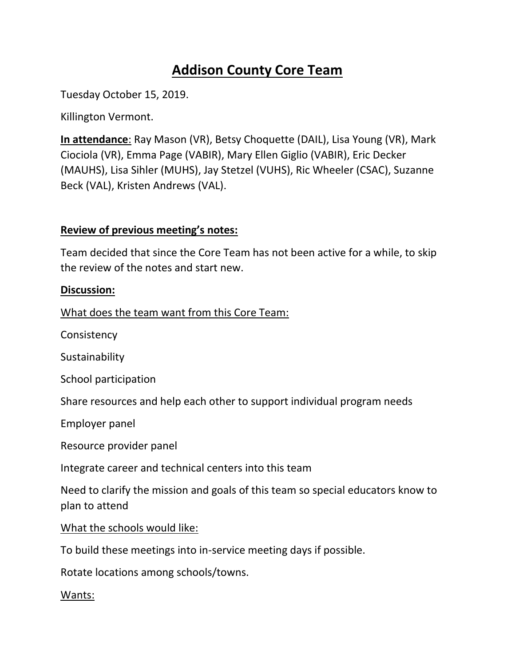# **Addison County Core Team**

Tuesday October 15, 2019.

Killington Vermont.

**In attendance**: Ray Mason (VR), Betsy Choquette (DAIL), Lisa Young (VR), Mark Ciociola (VR), Emma Page (VABIR), Mary Ellen Giglio (VABIR), Eric Decker (MAUHS), Lisa Sihler (MUHS), Jay Stetzel (VUHS), Ric Wheeler (CSAC), Suzanne Beck (VAL), Kristen Andrews (VAL).

## **Review of previous meeting's notes:**

Team decided that since the Core Team has not been active for a while, to skip the review of the notes and start new.

## **Discussion:**

What does the team want from this Core Team:

**Consistency** 

**Sustainability** 

School participation

Share resources and help each other to support individual program needs

Employer panel

Resource provider panel

Integrate career and technical centers into this team

Need to clarify the mission and goals of this team so special educators know to plan to attend

What the schools would like:

To build these meetings into in-service meeting days if possible.

Rotate locations among schools/towns.

## Wants: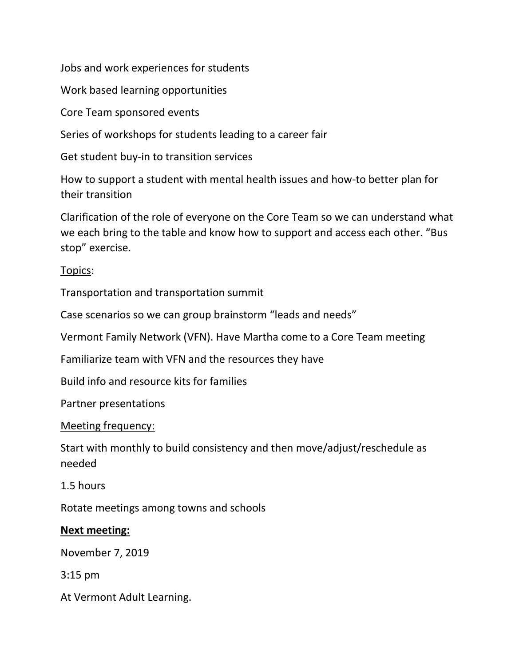Jobs and work experiences for students

Work based learning opportunities

Core Team sponsored events

Series of workshops for students leading to a career fair

Get student buy-in to transition services

How to support a student with mental health issues and how-to better plan for their transition

Clarification of the role of everyone on the Core Team so we can understand what we each bring to the table and know how to support and access each other. "Bus stop" exercise.

## Topics:

Transportation and transportation summit

Case scenarios so we can group brainstorm "leads and needs"

Vermont Family Network (VFN). Have Martha come to a Core Team meeting

Familiarize team with VFN and the resources they have

Build info and resource kits for families

Partner presentations

## Meeting frequency:

Start with monthly to build consistency and then move/adjust/reschedule as needed

## 1.5 hours

Rotate meetings among towns and schools

## **Next meeting:**

November 7, 2019

3:15 pm

At Vermont Adult Learning.